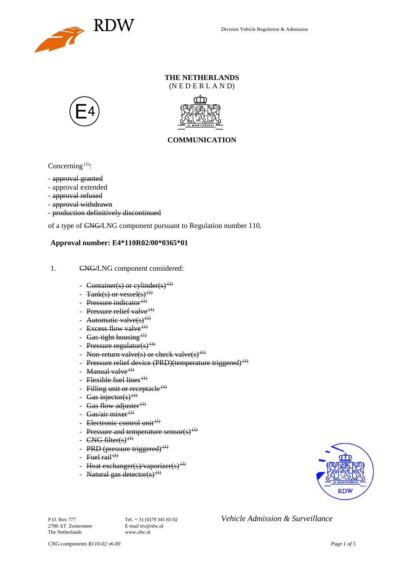

### **THE NETHERLANDS** (N E D E R L A N D)





## **COMMUNICATION**

Concerning  $(1)$ :

- approval granted
- approval extended
- approval refused
- approval withdrawn
- production definitively discontinued

of a type of CNG/LNG component pursuant to Regulation number 110.

#### **Approval number: E4\*110R02/00\*0365\*01**

- 1. CNG/LNG component considered:
	- Container(s) or cylinder(s)<sup>(1)</sup>
	- $\text{Rank}(s)$  or vessel(s)<sup>(1)</sup>
	- Pressure indicator $^{(1)}$
	- Pressure relief valve $(1)$
	- Automatic valve $(s)^{(1)}$
	- Excess flow valve  $(1)$
	- Gas-tight housing  $(1)$
	- Pressure regulator(s) $(1)$
	- Non-return valve(s) or check valve(s)<sup>(1)</sup>
	- Pressure relief device (PRD)(temperature triggered)<sup>(1)</sup>
	- Manual valve $<sup>(1)</sup>$ </sup>
	- Flexible fuel lines<sup> $(1)$ </sup>
	- Filling unit or receptacle<sup> $(1)$ </sup>
	- Gas injector(s)<sup>(1)</sup>
	- Gas flow adjuster $(1)$
	- Gas/air mixer<sup>(1)</sup>
	- Electronic control unit<sup>(1)</sup>
	- Pressure and temperature sensor(s)<sup>(1)</sup>
	- $CNG$  filter(s)<sup>(1)</sup>
	- PRD (pressure triggered)<sup>(1)</sup>
	- Fuel rail<sup> $(1)$ </sup>
	- Heat exchanger(s)/vaporizer(s)<sup>(1)</sup>
	- Natural gas detector(s)<sup>(1)</sup>



2700 AT Zoetermeer The Netherlands www.rdw.nl

P.O. Box 777<br> **P.O. Box 777** Tel. + 31 (0)79 345 83 02 *Vehicle Admission & Surveillance*<br>
F-mail tty@rdw.nl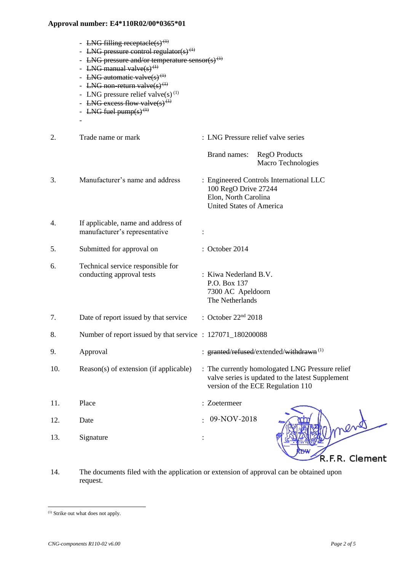- LNG filling receptacle(s)<sup>(1)</sup>
- LNG pressure control regulator(s)<sup>(1)</sup>
- LNG pressure and/or temperature sensor(s)<sup>(1)</sup>
- LNG manual valve $(s)$ <sup>(1)</sup>
- LNG automatic valve $(s)^{(1)}$
- LNG non-return valve $(s)^{(1)}$
- LNG pressure relief valve(s)<sup>(1)</sup>
- LNG excess flow valve(s)<sup>(1)</sup>
- LNG fuel pump $(s)$ <sup> $(1)$ </sup>

-

- 2. Trade name or mark : LNG Pressure relief valve series Brand names: RegO Products Macro Technologies 3. Manufacturer's name and address : Engineered Controls International LLC 100 RegO Drive 27244 Elon, North Carolina United States of America 4. If applicable, name and address of manufacturer's representative : 5. Submitted for approval on : October 2014 6. Technical service responsible for conducting approval tests : Kiwa Nederland B.V. P.O. Box 137 7300 AC Apeldoorn The Netherlands 7. Date of report issued by that service : October 22nd 2018 8. Number of report issued by that service : 127071\_180200088 9. Approval : granted/refused/extended/withdrawn<sup>(1)</sup> 10. Reason(s) of extension (if applicable) : The currently homologated LNG Pressure relief valve series is updated to the latest Supplement version of the ECE Regulation 110 11. Place : Zoetermeer 12. Date : 13. Signature :  $09-NOV-2018$
- 14. The documents filed with the application or extension of approval can be obtained upon request.

R.F.R. Clement

<sup>(1)</sup> Strike out what does not apply.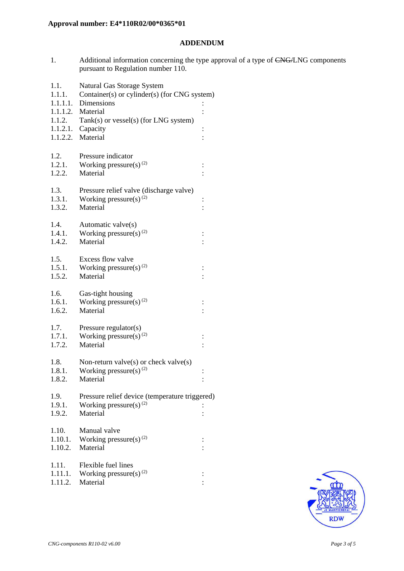### **ADDENDUM**

1. Additional information concerning the type approval of a type of CNG/LNG components pursuant to Regulation number 110.

| 1.1.<br>1.1.1.   | Natural Gas Storage System<br>Container(s) or cylinder(s) (for CNG system) |                      |  |
|------------------|----------------------------------------------------------------------------|----------------------|--|
|                  | 1.1.1.1. Dimensions                                                        |                      |  |
|                  | 1.1.1.2. Material                                                          |                      |  |
| 1.1.2.           | Tank(s) or vessel(s) (for LNG system)                                      |                      |  |
|                  | $1.1.2.1.$ Capacity<br>1.1.2.2. Material                                   | $\vdots$             |  |
|                  |                                                                            |                      |  |
| 1.2.             | Pressure indicator                                                         |                      |  |
| 1.2.1.           | Working pressure(s) <sup>(2)</sup>                                         | $\ddot{\cdot}$       |  |
| 1.2.2.           | Material                                                                   |                      |  |
| 1.3.             | Pressure relief valve (discharge valve)                                    |                      |  |
| 1.3.1.           | Working pressure(s) $^{(2)}$                                               | $\vdots$             |  |
| 1.3.2.           | Material                                                                   |                      |  |
|                  |                                                                            |                      |  |
| 1.4.             | Automatic valve(s)                                                         |                      |  |
| 1.4.1.<br>1.4.2. | Working pressure(s) $^{(2)}$<br>Material                                   |                      |  |
|                  |                                                                            |                      |  |
| 1.5.             | Excess flow valve                                                          |                      |  |
| 1.5.1.           | Working pressure(s) $^{(2)}$                                               | $\vdots$             |  |
| 1.5.2.           | Material                                                                   |                      |  |
| 1.6.             | Gas-tight housing                                                          |                      |  |
| 1.6.1.           | Working pressure(s) $^{(2)}$                                               |                      |  |
| 1.6.2.           | Material                                                                   |                      |  |
| 1.7.             | Pressure regulator(s)                                                      |                      |  |
| 1.7.1.           | Working pressure(s) $^{(2)}$                                               | $\vdots$             |  |
| 1.7.2.           | Material                                                                   |                      |  |
|                  |                                                                            |                      |  |
| 1.8.             | Non-return valve $(s)$ or check valve $(s)$                                |                      |  |
| 1.8.1.<br>1.8.2. | Working pressure(s) $^{(2)}$<br>Material                                   | $\vdots$<br>$\vdots$ |  |
|                  |                                                                            |                      |  |
| 1.9.             | Pressure relief device (temperature triggered)                             |                      |  |
| 1.9.1.           | Working pressure(s) $(2)$                                                  |                      |  |
| 1.9.2.           | Material                                                                   |                      |  |
| 1.10.            | Manual valve                                                               |                      |  |
| 1.10.1.          | Working pressure(s) $^{(2)}$                                               | $\ddot{\cdot}$       |  |
| 1.10.2.          | Material                                                                   |                      |  |
| 1.11.            | Flexible fuel lines                                                        |                      |  |
| 1.11.1.          | Working pressure(s) $^{(2)}$                                               |                      |  |
| 1.11.2.          | Material                                                                   |                      |  |
|                  |                                                                            |                      |  |

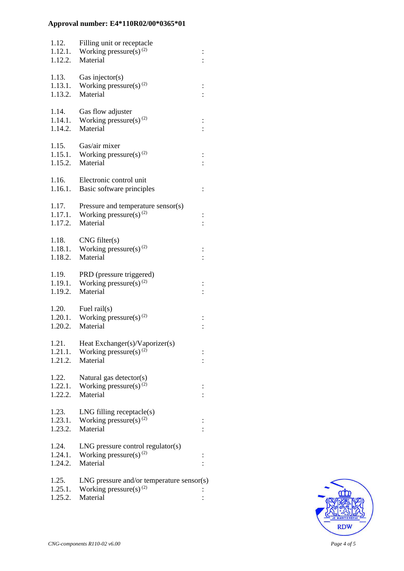| 1.12.<br>1.12.1.<br>1.12.2. | Filling unit or receptacle<br>Working pressure(s) <sup>(2)</sup><br>Material                  |          |
|-----------------------------|-----------------------------------------------------------------------------------------------|----------|
| 1.13.<br>1.13.1.<br>1.13.2. | Gas injector( $s$ )<br>Working pressure(s) $^{(2)}$<br>Material                               |          |
| 1.14.<br>1.14.1.<br>1.14.2. | Gas flow adjuster<br>Working pressure(s) $(2)$<br>Material                                    |          |
| 1.15.<br>1.15.1.<br>1.15.2. | Gas/air mixer<br>Working pressure(s) $(2)$<br>Material                                        | $\vdots$ |
| 1.16.<br>1.16.1.            | Electronic control unit<br>Basic software principles                                          | $\vdots$ |
| 1.17.<br>1.17.1.<br>1.17.2. | Pressure and temperature sensor(s)<br>Working pressure(s) $^{(2)}$<br>Material                | $\vdots$ |
| 1.18.<br>1.18.2.            | CNG filter(s)<br>1.18.1. Working pressure(s) <sup>(2)</sup><br>Material                       |          |
| 1.19.<br>1.19.1.<br>1.19.2. | PRD (pressure triggered)<br>Working pressure(s) <sup>(2)</sup><br>Material                    |          |
| 1.20.<br>1.20.2.            | Fuel rail $(s)$<br>1.20.1. Working pressure(s) <sup>(2)</sup><br>Material                     |          |
| 1.21.<br>1.21.1.<br>1.21.2. | Heat Exchanger(s)/Vaporizer(s)<br>Working pressure(s) $^{(2)}$<br>Material                    |          |
| 1.22.<br>1.22.1.<br>1.22.2. | Natural gas detector(s)<br>Working pressure(s) <sup>(2)</sup><br>Material                     |          |
| 1.23.<br>1.23.1.<br>1.23.2. | $LNG$ filling receptacle $(s)$<br>Working pressure(s) <sup>(2)</sup><br>Material              |          |
| 1.24.<br>1.24.1.<br>1.24.2. | $LNG$ pressure control regulator(s)<br>Working pressure(s) $^{(2)}$<br>Material               |          |
| 1.25.<br>1.25.1.<br>1.25.2. | $LNG$ pressure and/or temperature sensor(s)<br>Working pressure(s) <sup>(2)</sup><br>Material |          |